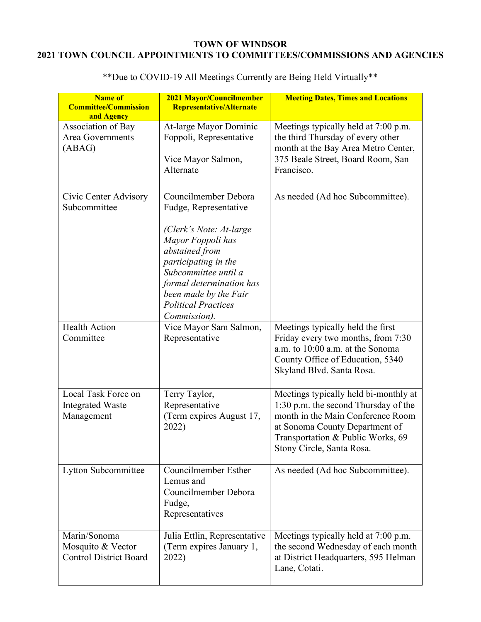## **TOWN OF WINDSOR 2021 TOWN COUNCIL APPOINTMENTS TO COMMITTEES/COMMISSIONS AND AGENCIES**

| <b>Name of</b><br><b>Committee/Commission</b><br>and Agency        | 2021 Mayor/Councilmember<br>Representative/Alternate                                                                                                                                                                                                               | <b>Meeting Dates, Times and Locations</b>                                                                                                                                                                              |
|--------------------------------------------------------------------|--------------------------------------------------------------------------------------------------------------------------------------------------------------------------------------------------------------------------------------------------------------------|------------------------------------------------------------------------------------------------------------------------------------------------------------------------------------------------------------------------|
| Association of Bay<br><b>Area Governments</b><br>(ABAG)            | At-large Mayor Dominic<br>Foppoli, Representative<br>Vice Mayor Salmon,<br>Alternate                                                                                                                                                                               | Meetings typically held at 7:00 p.m.<br>the third Thursday of every other<br>month at the Bay Area Metro Center,<br>375 Beale Street, Board Room, San<br>Francisco.                                                    |
| Civic Center Advisory<br>Subcommittee                              | Councilmember Debora<br>Fudge, Representative<br>(Clerk's Note: At-large<br>Mayor Foppoli has<br>abstained from<br>participating in the<br>Subcommittee until a<br>formal determination has<br>been made by the Fair<br><b>Political Practices</b><br>Commission). | As needed (Ad hoc Subcommittee).                                                                                                                                                                                       |
| <b>Health Action</b><br>Committee                                  | Vice Mayor Sam Salmon,<br>Representative                                                                                                                                                                                                                           | Meetings typically held the first<br>Friday every two months, from 7:30<br>a.m. to 10:00 a.m. at the Sonoma<br>County Office of Education, 5340<br>Skyland Blvd. Santa Rosa.                                           |
| Local Task Force on<br><b>Integrated Waste</b><br>Management       | Terry Taylor,<br>Representative<br>(Term expires August 17,<br>2022)                                                                                                                                                                                               | Meetings typically held bi-monthly at<br>1:30 p.m. the second Thursday of the<br>month in the Main Conference Room<br>at Sonoma County Department of<br>Transportation & Public Works, 69<br>Stony Circle, Santa Rosa. |
| Lytton Subcommittee                                                | Councilmember Esther<br>Lemus and<br>Councilmember Debora<br>Fudge,<br>Representatives                                                                                                                                                                             | As needed (Ad hoc Subcommittee).                                                                                                                                                                                       |
| Marin/Sonoma<br>Mosquito & Vector<br><b>Control District Board</b> | Julia Ettlin, Representative<br>(Term expires January 1,<br>2022)                                                                                                                                                                                                  | Meetings typically held at 7:00 p.m.<br>the second Wednesday of each month<br>at District Headquarters, 595 Helman<br>Lane, Cotati.                                                                                    |

\*\*Due to COVID-19 All Meetings Currently are Being Held Virtually\*\*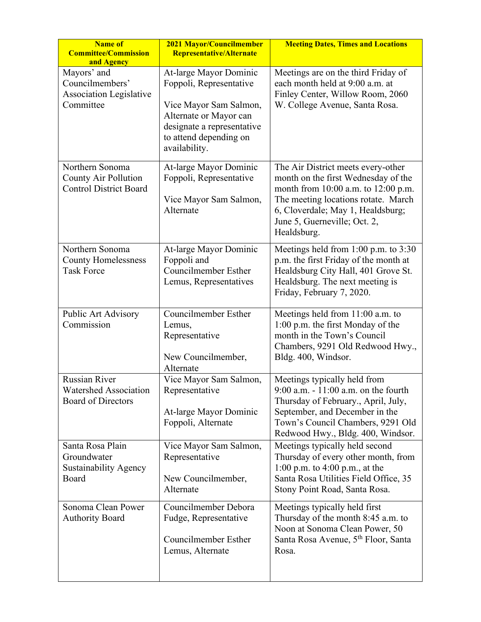| <b>Name of</b><br><b>Committee/Commission</b><br>and Agency                   | 2021 Mayor/Councilmember<br>Representative/Alternate                                                                                                                           | <b>Meeting Dates, Times and Locations</b>                                                                                                                                                                                                   |
|-------------------------------------------------------------------------------|--------------------------------------------------------------------------------------------------------------------------------------------------------------------------------|---------------------------------------------------------------------------------------------------------------------------------------------------------------------------------------------------------------------------------------------|
| Mayors' and<br>Councilmembers'<br><b>Association Legislative</b><br>Committee | At-large Mayor Dominic<br>Foppoli, Representative<br>Vice Mayor Sam Salmon,<br>Alternate or Mayor can<br>designate a representative<br>to attend depending on<br>availability. | Meetings are on the third Friday of<br>each month held at 9:00 a.m. at<br>Finley Center, Willow Room, 2060<br>W. College Avenue, Santa Rosa.                                                                                                |
| Northern Sonoma<br>County Air Pollution<br><b>Control District Board</b>      | At-large Mayor Dominic<br>Foppoli, Representative<br>Vice Mayor Sam Salmon,<br>Alternate                                                                                       | The Air District meets every-other<br>month on the first Wednesday of the<br>month from 10:00 a.m. to 12:00 p.m.<br>The meeting locations rotate. March<br>6, Cloverdale; May 1, Healdsburg;<br>June 5, Guerneville; Oct. 2,<br>Healdsburg. |
| Northern Sonoma<br><b>County Homelessness</b><br><b>Task Force</b>            | At-large Mayor Dominic<br>Foppoli and<br>Councilmember Esther<br>Lemus, Representatives                                                                                        | Meetings held from 1:00 p.m. to 3:30<br>p.m. the first Friday of the month at<br>Healdsburg City Hall, 401 Grove St.<br>Healdsburg. The next meeting is<br>Friday, February 7, 2020.                                                        |
| Public Art Advisory<br>Commission                                             | <b>Councilmember Esther</b><br>Lemus,<br>Representative<br>New Councilmember,<br>Alternate                                                                                     | Meetings held from 11:00 a.m. to<br>1:00 p.m. the first Monday of the<br>month in the Town's Council<br>Chambers, 9291 Old Redwood Hwy.,<br>Bldg. 400, Windsor.                                                                             |
| <b>Russian River</b><br>Watershed Association<br><b>Board of Directors</b>    | Vice Mayor Sam Salmon,<br>Representative<br>At-large Mayor Dominic<br>Foppoli, Alternate                                                                                       | Meetings typically held from<br>9:00 a.m. $-11:00$ a.m. on the fourth<br>Thursday of February., April, July,<br>September, and December in the<br>Town's Council Chambers, 9291 Old<br>Redwood Hwy., Bldg. 400, Windsor.                    |
| Santa Rosa Plain<br>Groundwater<br><b>Sustainability Agency</b><br>Board      | Vice Mayor Sam Salmon,<br>Representative<br>New Councilmember,<br>Alternate                                                                                                    | Meetings typically held second<br>Thursday of every other month, from<br>1:00 p.m. to 4:00 p.m., at the<br>Santa Rosa Utilities Field Office, 35<br>Stony Point Road, Santa Rosa.                                                           |
| Sonoma Clean Power<br><b>Authority Board</b>                                  | Councilmember Debora<br>Fudge, Representative<br><b>Councilmember Esther</b><br>Lemus, Alternate                                                                               | Meetings typically held first<br>Thursday of the month 8:45 a.m. to<br>Noon at Sonoma Clean Power, 50<br>Santa Rosa Avenue, 5 <sup>th</sup> Floor, Santa<br>Rosa.                                                                           |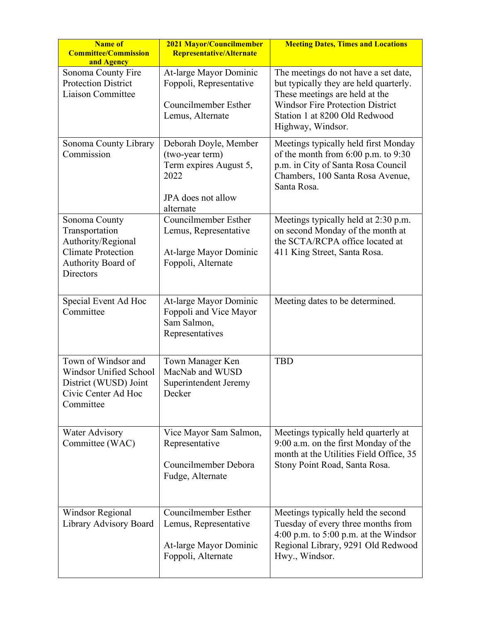| <b>Name of</b><br><b>Committee/Commission</b><br>and Agency                                                           | 2021 Mayor/Councilmember<br>Representative/Alternate                                                          | <b>Meeting Dates, Times and Locations</b>                                                                                                                                                                         |
|-----------------------------------------------------------------------------------------------------------------------|---------------------------------------------------------------------------------------------------------------|-------------------------------------------------------------------------------------------------------------------------------------------------------------------------------------------------------------------|
| Sonoma County Fire<br><b>Protection District</b><br>Liaison Committee                                                 | At-large Mayor Dominic<br>Foppoli, Representative<br>Councilmember Esther<br>Lemus, Alternate                 | The meetings do not have a set date,<br>but typically they are held quarterly.<br>These meetings are held at the<br><b>Windsor Fire Protection District</b><br>Station 1 at 8200 Old Redwood<br>Highway, Windsor. |
| Sonoma County Library<br>Commission                                                                                   | Deborah Doyle, Member<br>(two-year term)<br>Term expires August 5,<br>2022<br>JPA does not allow<br>alternate | Meetings typically held first Monday<br>of the month from $6:00$ p.m. to $9:30$<br>p.m. in City of Santa Rosa Council<br>Chambers, 100 Santa Rosa Avenue,<br>Santa Rosa.                                          |
| Sonoma County<br>Transportation<br>Authority/Regional<br><b>Climate Protection</b><br>Authority Board of<br>Directors | Councilmember Esther<br>Lemus, Representative<br>At-large Mayor Dominic<br>Foppoli, Alternate                 | Meetings typically held at 2:30 p.m.<br>on second Monday of the month at<br>the SCTA/RCPA office located at<br>411 King Street, Santa Rosa.                                                                       |
| Special Event Ad Hoc<br>Committee                                                                                     | At-large Mayor Dominic<br>Foppoli and Vice Mayor<br>Sam Salmon,<br>Representatives                            | Meeting dates to be determined.                                                                                                                                                                                   |
| Town of Windsor and<br><b>Windsor Unified School</b><br>District (WUSD) Joint<br>Civic Center Ad Hoc<br>Committee     | Town Manager Ken<br>MacNab and WUSD<br>Superintendent Jeremy<br>Decker                                        | <b>TBD</b>                                                                                                                                                                                                        |
| <b>Water Advisory</b><br>Committee (WAC)                                                                              | Vice Mayor Sam Salmon,<br>Representative<br>Councilmember Debora<br>Fudge, Alternate                          | Meetings typically held quarterly at<br>9:00 a.m. on the first Monday of the<br>month at the Utilities Field Office, 35<br>Stony Point Road, Santa Rosa.                                                          |
| <b>Windsor Regional</b><br>Library Advisory Board                                                                     | Councilmember Esther<br>Lemus, Representative<br>At-large Mayor Dominic<br>Foppoli, Alternate                 | Meetings typically held the second<br>Tuesday of every three months from<br>4:00 p.m. to $5:00$ p.m. at the Windsor<br>Regional Library, 9291 Old Redwood<br>Hwy., Windsor.                                       |